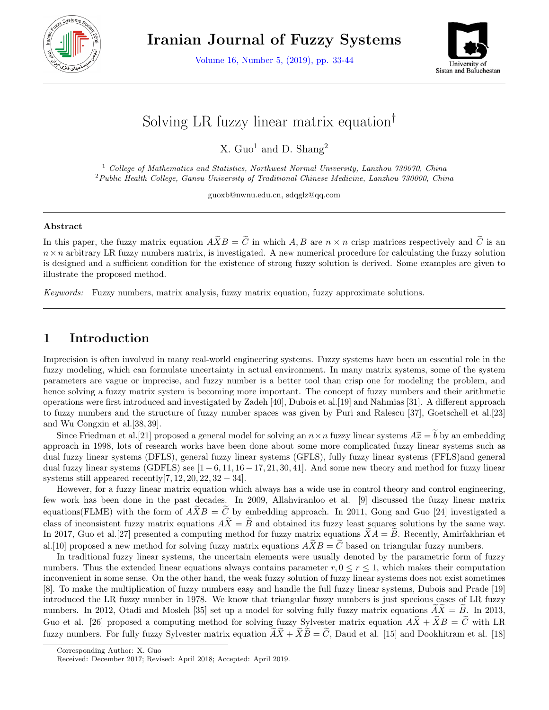

**Iranian Journal of Fuzzy Systems**

Volume 16, Number 5, (2019), pp. 33-44



# Solving LR fuzzy linear matrix equation*†*

X.  $Guol$  and D. Shang<sup>2</sup>

<sup>1</sup> *College of Mathematics and Statistics, Northwest Normal University, Lanzhou 730070, China* <sup>2</sup>*Public Health College, Gansu University of Traditional Chinese Medicine, Lanzhou 730000, China*

guoxb@nwnu.edu.cn, sdqglz@qq.com

#### **Abstract**

In this paper, the fuzzy matrix equation  $\widetilde{A} \widetilde{X} B = \widetilde{C}$  in which *A, B* are  $n \times n$  crisp matrices respectively and  $\widetilde{C}$  is an  $n \times n$  arbitrary LR fuzzy numbers matrix, is investigated. A new numerical procedure for calculating the fuzzy solution is designed and a sufficient condition for the existence of strong fuzzy solution is derived. Some examples are given to illustrate the proposed method.

*Keywords:* Fuzzy numbers, matrix analysis, fuzzy matrix equation, fuzzy approximate solutions.

# **1 Introduction**

Imprecision is often involved in many real-world engineering systems. Fuzzy systems have been an essential role in the fuzzy modeling, which can formulate uncertainty in actual environment. In many matrix systems, some of the system parameters are vague or imprecise, and fuzzy number is a better tool than crisp one for modeling the problem, and hence solving a fuzzy matrix system is becoming more important. The concept of fuzzy numbers and their arithmetic operations were first introduced and investigated by Zadeh [40], Dubois et al.[19] and Nahmias [31]. A different approach to fuzzy numbers and the structure of fuzzy number spaces was given by Puri and Ralescu [37], Goetschell et al.[23] and Wu Congxin et al.[38*,* 39].

Since Friedman et al. [21] proposed a general model for solving an  $n \times n$  fuzzy linear systems  $A\tilde{x} = \tilde{b}$  by an embedding approach in 1998, lots of research works have been done about some more complicated fuzzy linear systems such as dual fuzzy linear systems (DFLS), general fuzzy linear systems (GFLS), fully fuzzy linear systems (FFLS)and general dual fuzzy linear systems (GDFLS) see [1 *−* 6*,* 11*,* 16 *−* 17*,* 21*,* 30*,* 41]. And some new theory and method for fuzzy linear systems still appeared recently[7*,* 12*,* 20*,* 22*,* 32 *−* 34].

However, for a fuzzy linear matrix equation which always has a wide use in control theory and control engineering, few work has been done in the past decades. In 2009, Allahviranloo et al. [9] discussed the fuzzy linear matrix equations(FLME) with the form of  $\widetilde{AXB}=\widetilde{C}$  by embedding approach. In 2011, Gong and Guo [24] investigated a class of inconsistent fuzzy matrix equations  $A\widetilde{X} = \widetilde{B}$  and obtained its fuzzy least squares solutions by the same way. In 2017, Guo et al. [27] presented a computing method for fuzzy matrix equations  $XA = B$ . Recently, Amirfakhrian et al. [10] proposed a new method for solving fuzzy matrix equations  $\widetilde{X}B=\widetilde{C}$  based on triangular fuzzy numbers.

In traditional fuzzy linear systems, the uncertain elements were usually denoted by the parametric form of fuzzy numbers. Thus the extended linear equations always contains parameter  $r, 0 \le r \le 1$ , which makes their computation inconvenient in some sense. On the other hand, the weak fuzzy solution of fuzzy linear systems does not exist sometimes [8]. To make the multiplication of fuzzy numbers easy and handle the full fuzzy linear systems, Dubois and Prade [19] introduced the LR fuzzy number in 1978. We know that triangular fuzzy numbers is just specious cases of LR fuzzy numbers. In 2012, Otadi and Mosleh [35] set up a model for solving fully fuzzy matrix equations  $\widetilde{AX} = \widetilde{B}$ . In 2013, Guo et al. [26] proposed a computing method for solving fuzzy Sylvester matrix equation  $A\tilde{X}+\tilde{X}B=\tilde{C}$  with LR fuzzy numbers. For fully fuzzy Sylvester matrix equation  $\widetilde{A}\widetilde{X}+\widetilde{X}\widetilde{B}=\widetilde{C}$ , Daud et al. [15] and Dookhitram et al. [18]

Corresponding Author: X. Guo

Received: December 2017; Revised: April 2018; Accepted: April 2019.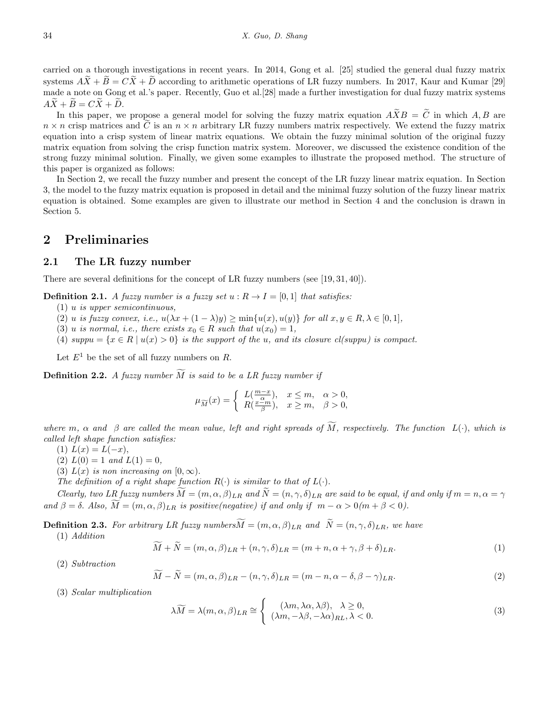carried on a thorough investigations in recent years. In 2014, Gong et al. [25] studied the general dual fuzzy matrix systems  $A\tilde{X}+\tilde{B}=C\tilde{X}+\tilde{D}$  according to arithmetic operations of LR fuzzy numbers. In 2017, Kaur and Kumar [29] made a note on Gong et al.'s paper. Recently, Guo et al.[28] made a further investigation for dual fuzzy matrix systems  $A\widetilde{X} + \widetilde{B} = C\widetilde{X} + \widetilde{D}$ .

In this paper, we propose a general model for solving the fuzzy matrix equation  $\widetilde{A} \widetilde{X} B = \widetilde{C}$  in which *A, B* are  $n \times n$  crisp matrices and  $\tilde{C}$  is an  $n \times n$  arbitrary LR fuzzy numbers matrix respectively. We extend the fuzzy matrix equation into a crisp system of linear matrix equations. We obtain the fuzzy minimal solution of the original fuzzy matrix equation from solving the crisp function matrix system. Moreover, we discussed the existence condition of the strong fuzzy minimal solution. Finally, we given some examples to illustrate the proposed method. The structure of this paper is organized as follows:

In Section 2, we recall the fuzzy number and present the concept of the LR fuzzy linear matrix equation. In Section 3, the model to the fuzzy matrix equation is proposed in detail and the minimal fuzzy solution of the fuzzy linear matrix equation is obtained. Some examples are given to illustrate our method in Section 4 and the conclusion is drawn in Section 5.

### **2 Preliminaries**

#### **2.1 The LR fuzzy number**

There are several definitions for the concept of LR fuzzy numbers (see [19*,* 31*,* 40]).

**Definition 2.1.** *A fuzzy number is a fuzzy set*  $u: R \to I = [0, 1]$  *that satisfies:* 

- (1) *u is upper semicontinuous,*
- (2) u is fuzzy convex, i.e.,  $u(\lambda x + (1 \lambda)y) \ge \min\{u(x), u(y)\}\$ for all  $x, y \in R, \lambda \in [0, 1],$
- (3) *u is normal, i.e., there exists*  $x_0 \in R$  *such that*  $u(x_0) = 1$ ,
- (4)  $suppu = {x \in R \mid u(x) > 0}$  is the support of the *u*, and its closure cl(suppu) is compact.

Let  $E^1$  be the set of all fuzzy numbers on R.

**Definition 2.2.** *A fuzzy number*  $\widetilde{M}$  *is said to be a LR fuzzy number if* 

$$
\mu_{\widetilde{M}}(x) = \begin{cases} L(\frac{m-x}{\alpha}), & x \le m, \alpha > 0, \\ R(\frac{x-m}{\beta}), & x \ge m, \beta > 0, \end{cases}
$$

*where*  $m$ ,  $\alpha$  and  $\beta$  are called the mean value, left and right spreads of  $\widetilde{M}$ , respectively. The function  $L(\cdot)$ , which is *called left shape function satisfies:*

- $(L(x)) = L(-x)$ ,
- $(L(2) L(0) = 1$  *and*  $L(1) = 0$ ,
- (3)  $L(x)$  *is non increasing on*  $[0, \infty)$ .

*The definition of a right shape function*  $R(\cdot)$  *is similar to that of*  $L(\cdot)$ *.* 

*Clearly, two LR fuzzy numbers*  $M = (m, \alpha, \beta)_{LR}$  and  $\tilde{N} = (n, \gamma, \delta)_{LR}$  are said to be equal, if and only if  $m = n, \alpha = \gamma$  $\widetilde{A} = \delta$ . *Also,*  $\widetilde{M} = (m, \alpha, \beta)_{LR}$  *is positive(negative) if and only if*  $m - \alpha > 0$  $(m + \beta < 0)$ .

**Definition 2.3.** *For arbitrary LR fuzzy numbers* $\widetilde{M} = (m, \alpha, \beta)_{LR}$  *and*  $\widetilde{N} = (n, \gamma, \delta)_{LR}$ *, we have* 

(1) *Addition*

$$
\widetilde{M} + \widetilde{N} = (m, \alpha, \beta)_{LR} + (n, \gamma, \delta)_{LR} = (m + n, \alpha + \gamma, \beta + \delta)_{LR}.
$$
\n(1)

(2) *Subtraction*

$$
\widetilde{M} - \widetilde{N} = (m, \alpha, \beta)_{LR} - (n, \gamma, \delta)_{LR} = (m - n, \alpha - \delta, \beta - \gamma)_{LR}.
$$
\n(2)

(3) *Scalar multiplication*

$$
\lambda \widetilde{M} = \lambda(m, \alpha, \beta)_{LR} \cong \begin{cases} (\lambda m, \lambda \alpha, \lambda \beta), & \lambda \ge 0, \\ (\lambda m, -\lambda \beta, -\lambda \alpha)_{RL}, & \lambda < 0. \end{cases} \tag{3}
$$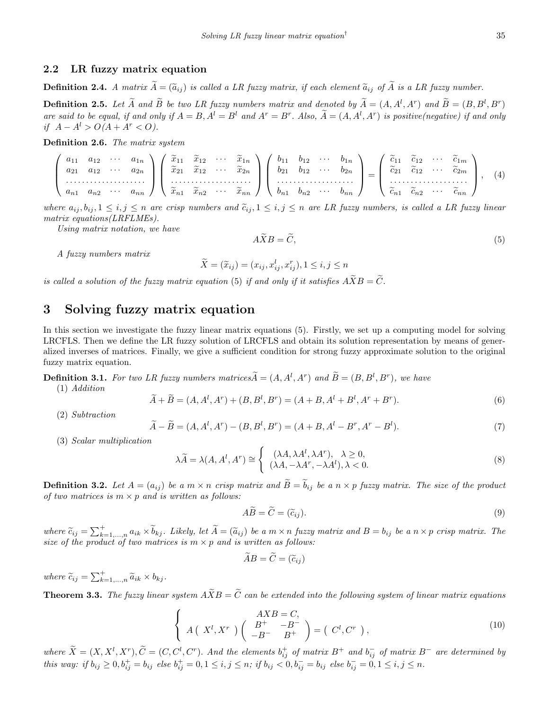#### **2.2 LR fuzzy matrix equation**

**Definition 2.4.** *A matrix*  $\widetilde{A} = (\widetilde{a}_{ij})$  *is called a LR fuzzy matrix, if each element*  $\widetilde{a}_{ij}$  *of*  $\widetilde{A}$  *is a LR fuzzy number.* 

**Definition 2.5.** Let  $\tilde{A}$  and  $\tilde{B}$  be two LR fuzzy numbers matrix and denoted by  $\tilde{A} = (A, A^l, A^r)$  and  $\tilde{B} = (B, B^l, B^r)$ are said to be equal, if and only if  $A = B$ ,  $A^l = B^l$  and  $A^r = B^r$ . Also,  $\tilde{A} = (A, A^l, A^r)$  is positive(negative) if and only *if*  $A - A^l > O(A + A^r < O)$ .

**Definition 2.6.** *The matrix system*

$$
\begin{pmatrix}\na_{11} & a_{12} & \cdots & a_{1n} \\
a_{21} & a_{12} & \cdots & a_{2n} \\
\vdots & \vdots & \ddots & \vdots \\
a_{n1} & a_{n2} & \cdots & a_{nn}\n\end{pmatrix}\n\begin{pmatrix}\n\widetilde{x}_{11} & \widetilde{x}_{12} & \cdots & \widetilde{x}_{1n} \\
\widetilde{x}_{21} & \widetilde{x}_{12} & \cdots & \widetilde{x}_{2n} \\
\vdots & \vdots & \ddots & \vdots \\
\widetilde{x}_{n1} & \widetilde{x}_{n2} & \cdots & \widetilde{x}_{nn}\n\end{pmatrix}\n\begin{pmatrix}\nb_{11} & b_{12} & \cdots & b_{1n} \\
b_{21} & b_{12} & \cdots & b_{2n} \\
\vdots & \vdots & \ddots & \vdots \\
b_{n1} & b_{n2} & \cdots & b_{nn}\n\end{pmatrix}\n=\n\begin{pmatrix}\n\widetilde{c}_{11} & \widetilde{c}_{12} & \cdots & \widetilde{c}_{1m} \\
\widetilde{c}_{21} & \widetilde{c}_{12} & \cdots & \widetilde{c}_{2m} \\
\vdots & \vdots & \ddots & \vdots \\
\widetilde{c}_{n1} & \widetilde{c}_{n2} & \cdots & \widetilde{c}_{nn}\n\end{pmatrix},\n\tag{4}
$$

where  $a_{ij}, b_{ij}, 1 \leq i, j \leq n$  are crisp numbers and  $\tilde{c}_{ij}, 1 \leq i, j \leq n$  are LR fuzzy numbers, is called a LR fuzzy linear *matrix equations(LRFLMEs).*

*Using matrix notation, we have*

$$
A\widetilde{X}B = \widetilde{C},\tag{5}
$$

*A fuzzy numbers matrix*

$$
\widetilde{X} = (\widetilde{x}_{ij}) = (x_{ij}, x_{ij}^l, x_{ij}^r), 1 \le i, j \le n
$$

*is called a solution of the fuzzy matrix equation* (5) *if and only if it satisfies*  $A\widetilde{X}B = \widetilde{C}$ .

# **3 Solving fuzzy matrix equation**

In this section we investigate the fuzzy linear matrix equations (5). Firstly, we set up a computing model for solving LRCFLS. Then we define the LR fuzzy solution of LRCFLS and obtain its solution representation by means of generalized inverses of matrices. Finally, we give a sufficient condition for strong fuzzy approximate solution to the original fuzzy matrix equation.

**Definition 3.1.** For two LR fuzzy numbers matrices $\widetilde{A} = (A, A^l, A^r)$  and  $\widetilde{B} = (B, B^l, B^r)$ , we have (1) *Addition*

$$
\widetilde{A} + \widetilde{B} = (A, A^l, A^r) + (B, B^l, B^r) = (A + B, A^l + B^l, A^r + B^r). \tag{6}
$$

(2) *Subtraction*

$$
\widetilde{A} - \widetilde{B} = (A, A^l, A^r) - (B, B^l, B^r) = (A + B, A^l - B^r, A^r - B^l). \tag{7}
$$

(3) *Scalar multiplication*

$$
\lambda \widetilde{A} = \lambda(A, A^l, A^r) \cong \begin{cases} (\lambda A, \lambda A^l, \lambda A^r), & \lambda \ge 0, \\ (\lambda A, -\lambda A^r, -\lambda A^l), & \lambda < 0. \end{cases} \tag{8}
$$

**Definition 3.2.** Let  $A = (a_{ij})$  be a  $m \times n$  crisp matrix and  $\tilde{B} = \tilde{b}_{ij}$  be a  $n \times p$  fuzzy matrix. The size of the product *of two matrices is*  $m \times p$  *and is written as follows:* 

$$
A\widetilde{B} = \widetilde{C} = (\widetilde{c}_{ij}).\tag{9}
$$

where  $\widetilde{c}_{ij} = \sum_{k=1,...,n}^{+} a_{ik} \times \widetilde{b}_{kj}$ . Likely, let  $\widetilde{A} = (\widetilde{a}_{ij})$  be a  $m \times n$  fuzzy matrix and  $B = b_{ij}$  be a  $n \times p$  crisp matrix. The *size of the product of two matrices is*  $m \times p$  *and is written as follows:* 

$$
\tilde{A}B = \tilde{C} = (\tilde{c}_{ij})
$$

 $where \ \widetilde{c}_{ij} = \sum_{k=1,\dots,n}^{+} \widetilde{a}_{ik} \times b_{kj}.$ 

**Theorem 3.3.** The fuzzy linear system  $\widetilde{A}XB = \widetilde{C}$  can be extended into the following system of linear matrix equations

$$
\begin{cases}\nAXB = C, \\
A\left(X^{l}, X^{r}\right)\left(\begin{array}{cc}B^{+} & -B^{-} \\ -B^{-} & B^{+}\end{array}\right) = \left(C^{l}, C^{r}\right),\n\end{cases} \tag{10}
$$

where  $\widetilde{X} = (X, X^l, X^r), \widetilde{C} = (C, C^l, C^r)$ . And the elements  $b_{ij}^+$  of matrix  $B^+$  and  $b_{ij}^-$  of matrix  $B^-$  are determined by this way: if  $b_{ij} \ge 0$ ,  $b_{ij}^+ = b_{ij}$  else  $b_{ij}^+ = 0$ ,  $1 \le i, j \le n$ ; if  $b_{ij} < 0$ ,  $b_{ij}^- = b_{ij}$  else  $b_{ij}^- = 0$ ,  $1 \le i, j \le n$ .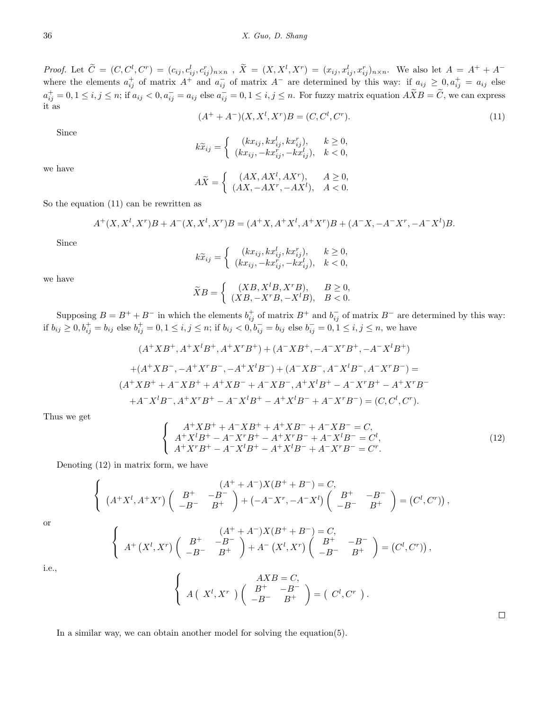*Proof.* Let  $\tilde{C} = (C, C^l, C^r) = (c_{ij}, c_{ij}^l, c_{ij}^r)_{n \times n}$ ,  $\tilde{X} = (X, X^l, X^r) = (x_{ij}, x_{ij}^l, x_{ij}^r)_{n \times n}$ . We also let  $A = A^+ + A^$ where the elements  $a_{ij}^+$  of matrix  $A^+$  and  $a_{ij}^-$  of matrix  $A^-$  are determined by this way: if  $a_{ij} \geq 0, a_{ij}^+ = a_{ij}$  else  $a_{ij}^+=0, 1\leq i,j\leq n$ ; if  $a_{ij}< 0, a_{ij}^-=a_{ij}$  else  $a_{ij}^-=0, 1\leq i,j\leq n$ . For fuzzy matrix equation  $A\widetilde{X}B=\widetilde{C}$ , we can express it as

$$
(A^+ + A^-)(X, X^l, X^r)B = (C, C^l, C^r). \tag{11}
$$

Since

$$
k\widetilde{x}_{ij} = \begin{cases} (kx_{ij}, kx_{ij}^l, kx_{ij}^r), & k \ge 0, \\ (kx_{ij}, -kx_{ij}^r, -kx_{ij}^l), & k < 0, \end{cases}
$$

we have

$$
A\widetilde{X} = \begin{cases} (AX, AX^l, AX^r), & A \ge 0, \\ (AX, -AX^r, -AX^l), & A < 0. \end{cases}
$$

So the equation (11) can be rewritten as

$$
A^+(X, X^l, X^r)B + A^-(X, X^l, X^r)B = (A^+X, A^+X^l, A^+X^r)B + (A^-X, -A^-X^r, -A^-X^l)B.
$$

Since

$$
k\widetilde{x}_{ij} = \begin{cases} (kx_{ij}, kx_{ij}^l, kx_{ij}^r), & k \ge 0, \\ (kx_{ij}, -kx_{ij}^r, -kx_{ij}^l), & k < 0, \end{cases}
$$

we have

$$
\widetilde{X}B = \begin{cases}\n(XB, X^lB, X^rB), & B \ge 0, \\
(XB, -X^rB, -X^lB), & B < 0.\n\end{cases}
$$

Supposing  $B = B^+ + B^-$  in which the elements  $b^+_{ij}$  of matrix  $B^+$  and  $b^-_{ij}$  of matrix  $B^-$  are determined by this way: if  $b_{ij} \ge 0$ ,  $b_{ij}^+ = b_{ij}$  else  $b_{ij}^+ = 0$ ,  $1 \le i, j \le n$ ; if  $b_{ij} < 0$ ,  $b_{ij}^- = b_{ij}$  else  $b_{ij}^- = 0$ ,  $1 \le i, j \le n$ , we have

$$
(A^{+}XB^{+}, A^{+}X^{l}B^{+}, A^{+}X^{r}B^{+}) + (A^{-}XB^{+}, -A^{-}X^{r}B^{+}, -A^{-}X^{l}B^{+})
$$

$$
+ (A^{+}XB^{-}, -A^{+}X^{r}B^{-}, -A^{+}X^{l}B^{-}) + (A^{-}XB^{-}, A^{-}X^{l}B^{-}, A^{-}X^{r}B^{-}) =
$$

$$
(A^{+}XB^{+} + A^{-}XB^{+} + A^{+}XB^{-} + A^{-}XB^{-}, A^{+}X^{l}B^{+} - A^{-}X^{r}B^{+} - A^{+}X^{r}B^{-})
$$

$$
+ A^{-}X^{l}B^{-}, A^{+}X^{r}B^{+} - A^{-}X^{l}B^{+} - A^{+}X^{l}B^{-} + A^{-}X^{r}B^{-}) = (C, C^{l}, C^{r}).
$$

Thus we get

$$
\begin{cases}\nA^{+}XB^{+} + A^{-}XB^{+} + A^{+}XB^{-} + A^{-}XB^{-} = C, \\
A^{+}X^{l}B^{+} - A^{-}X^{r}B^{+} - A^{+}X^{r}B^{-} + A^{-}X^{l}B^{-} = C^{l}, \\
A^{+}X^{r}B^{+} - A^{-}X^{l}B^{+} - A^{+}X^{l}B^{-} + A^{-}X^{r}B^{-} = C^{r}.\n\end{cases}
$$
\n(12)

Denoting (12) in matrix form, we have

$$
\begin{cases}\n(A^+ + A^-)X(B^+ + B^-) = C, \\
(A^+ X^l, A^+ X^r) \begin{pmatrix} B^+ & -B^- \\ -B^- & B^+ \end{pmatrix} + (-A^- X^r, -A^- X^l) \begin{pmatrix} B^+ & -B^- \\ -B^- & B^+ \end{pmatrix} = (C^l, C^r)\n\end{cases}
$$

or

$$
\begin{cases}\nA^+\left(X^l,X^r\right)\left(\begin{array}{cc}B^+ & -B^-\\-B^- & B^+\end{array}\right) + A^-\left(X^l,X^r\right)\left(\begin{array}{cc}B^+ & -B^-\\-B^- & B^+\end{array}\right) = \left(C^l,C^r\right)\n\end{cases},
$$

i.e.,

$$
\begin{cases}\nAXB = C, \\
A(X^l, X^r) \begin{pmatrix} B^+ & -B^- \\ -B^- & B^+ \end{pmatrix} = (C^l, C^r).\n\end{cases}
$$

In a similar way, we can obtain another model for solving the equation(5).

 $\Box$ 

*,*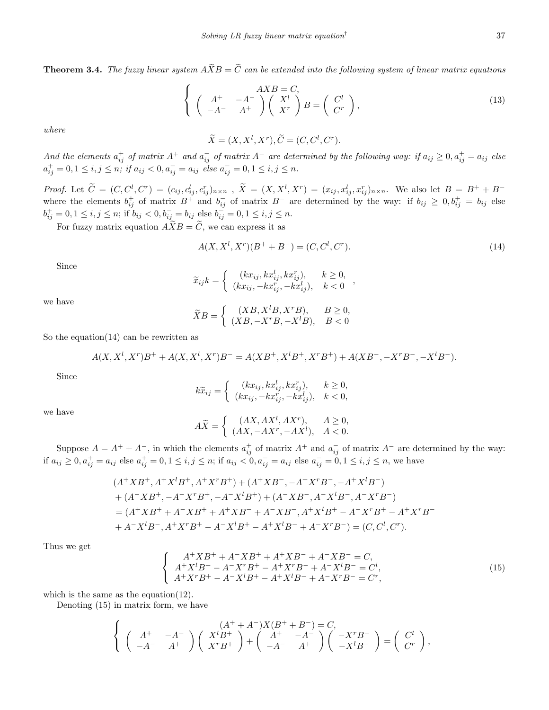**Theorem 3.4.** *The fuzzy linear system*  $\widetilde{AXB} = \widetilde{C}$  *can be extended into the following system of linear matrix equations* 

$$
\begin{cases}\nA^+ & -A^- \\
A^- & A^+\n\end{cases}\n\begin{pmatrix}\nX^l \\
X^r\n\end{pmatrix}\nB =\n\begin{pmatrix}\nC^l \\
C^r\n\end{pmatrix},\n\tag{13}
$$

*where*

$$
\widetilde{X} = (X, X^l, X^r), \widetilde{C} = (C, C^l, C^r).
$$

And the elements  $a_{ij}^+$  of matrix  $A^+$  and  $a_{ij}^-$  of matrix  $A^-$  are determined by the following way: if  $a_{ij} \ge 0$ ,  $a_{ij}^+ = a_{ij}$  else  $a_{ij}^+=0, 1\leq i,j\leq n; \text{ if } a_{ij}<0, a_{ij}^-=a_{ij} \text{ else } a_{ij}^-=0, 1\leq i,j\leq n.$ 

*Proof.* Let  $\tilde{C} = (C, C^l, C^r) = (c_{ij}, c_{ij}^l, c_{ij}^r)_{n \times n}$ ,  $\tilde{X} = (X, X^l, X^r) = (x_{ij}, x_{ij}^l, x_{ij}^r)_{n \times n}$ . We also let  $B = B^+ + B^$ where the elements  $b_{ij}^+$  of matrix  $B^+$  and  $b_{ij}^-$  of matrix  $B^-$  are determined by the way: if  $b_{ij} \geq 0, b_{ij}^+ = b_{ij}$  else  $b_{ij}^+ = 0, 1 \le i, j \le n$ ; if  $b_{ij} < 0, b_{ij}^- = b_{ij}$  else  $b_{ij}^- = 0, 1 \le i, j \le n$ .

For fuzzy matrix equation  $\widetilde{A} \widetilde{X} B = \widetilde{C}$ , we can express it as

$$
A(X, X^l, X^r)(B^+ + B^-) = (C, C^l, C^r). \tag{14}
$$

Since

$$
\widetilde{x}_{ij}k = \begin{cases}\n(kx_{ij}, kx_{ij}^l, kx_{ij}^r), & k \ge 0, \\
(kx_{ij}, -kx_{ij}^r, -kx_{ij}^l), & k < 0\n\end{cases}
$$

we have

$$
\widetilde{X}B = \begin{cases}\n(XB, X^lB, X^rB), & B \ge 0, \\
(XB, -X^rB, -X^lB), & B < 0\n\end{cases}
$$

So the equation $(14)$  can be rewritten as

$$
A(X, X^l, X^r)B^+ + A(X, X^l, X^r)B^- = A(XB^+, X^lB^+, X^rB^+) + A(XB^-, -X^rB^-, -X^lB^-).
$$

Since

$$
k\widetilde{x}_{ij} = \begin{cases} (kx_{ij}, kx_{ij}^l, kx_{ij}^r), & k \ge 0, \\ (kx_{ij}, -kx_{ij}^r, -kx_{ij}^l), & k < 0, \end{cases}
$$

we have

$$
A\widetilde{X} = \begin{cases} (AX, AX^l, AX^r), & A \ge 0, \\ (AX, -AX^r, -AX^l), & A < 0. \end{cases}
$$

Suppose  $A = A^+ + A^-$ , in which the elements  $a^+_{ij}$  of matrix  $A^+$  and  $a^-_{ij}$  of matrix  $A^-$  are determined by the way: if  $a_{ij} \geq 0$ ,  $a_{ij}^+ = a_{ij}$  else  $a_{ij}^+ = 0$ ,  $1 \leq i, j \leq n$ ; if  $a_{ij} < 0$ ,  $a_{ij}^- = a_{ij}$  else  $a_{ij}^- = 0$ ,  $1 \leq i, j \leq n$ , we have

$$
(A^{+}XB^{+}, A^{+}X^{l}B^{+}, A^{+}X^{r}B^{+}) + (A^{+}XB^{-}, -A^{+}X^{r}B^{-}, -A^{+}X^{l}B^{-})
$$
  
+ 
$$
(A^{-}XB^{+}, -A^{-}X^{r}B^{+}, -A^{-}X^{l}B^{+}) + (A^{-}XB^{-}, A^{-}X^{l}B^{-}, A^{-}X^{r}B^{-})
$$
  
= 
$$
(A^{+}XB^{+} + A^{-}XB^{+} + A^{+}XB^{-} + A^{-}XB^{-}, A^{+}X^{l}B^{+} - A^{-}X^{r}B^{+} - A^{+}X^{r}B^{-})
$$
  
+ 
$$
A^{-}X^{l}B^{-}, A^{+}X^{r}B^{+} - A^{-}X^{l}B^{+} - A^{+}X^{l}B^{-} + A^{-}X^{r}B^{-}) = (C, C^{l}, C^{r}).
$$

Thus we get

$$
\begin{cases}\nA^{+}XB^{+} + A^{-}XB^{+} + A^{+}XB^{-} + A^{-}XB^{-} = C, \\
A^{+}X^{t}B^{+} - A^{-}X^{r}B^{+} - A^{+}X^{r}B^{-} + A^{-}X^{t}B^{-} = C^{l}, \\
A^{+}X^{r}B^{+} - A^{-}X^{l}B^{+} - A^{+}X^{l}B^{-} + A^{-}X^{r}B^{-} = C^{r},\n\end{cases}
$$
\n(15)

which is the same as the equation(12).

Denoting (15) in matrix form, we have

$$
\begin{cases}\n(A^+ + A^-)X(B^+ + B^-) = C, \\
(A^+ - A^-) \begin{pmatrix} X^l B^+ \\ X^r B^+ \end{pmatrix} + \begin{pmatrix} A^+ - A^- \\ -A^- \end{pmatrix} \begin{pmatrix} -X^r B^- \\ -X^l B^- \end{pmatrix} = \begin{pmatrix} C^l \\ C^r \end{pmatrix},\n\end{cases}
$$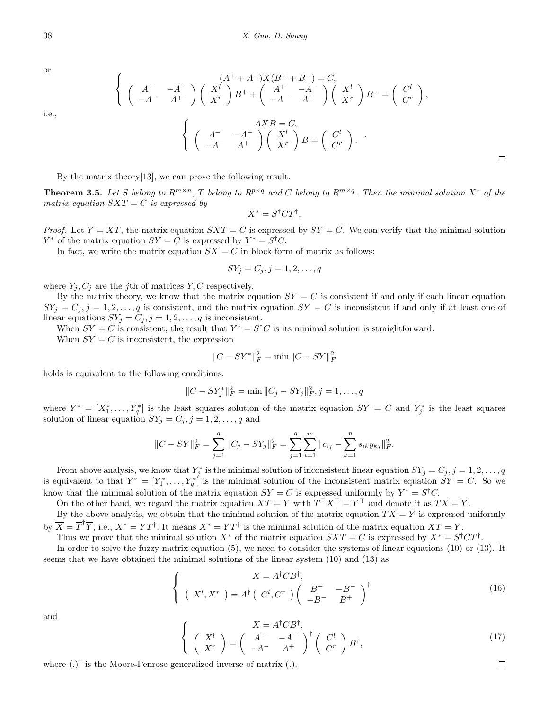or

i.e.,

$$
\begin{pmatrix}\nA^+ & -A^- \\
-A^- & A^+\n\end{pmatrix}\n\begin{pmatrix}\nX^l \\
X^r\n\end{pmatrix}B^+ +\n\begin{pmatrix}\nA^+ & -A^- \\
-A^- & A^+\n\end{pmatrix}\n\begin{pmatrix}\nX^l \\
X^r\n\end{pmatrix}B^-\n=\n\begin{pmatrix}\nC^l \\
C^r\n\end{pmatrix},
$$
\n
$$
\begin{pmatrix}\nA^+ & -A^- \\
A^- & A^+\n\end{pmatrix}\n\begin{pmatrix}\nX^l \\
X^r\n\end{pmatrix}B =\n\begin{pmatrix}\nC^l \\
C^r\n\end{pmatrix}.
$$

By the matrix theory[13], we can prove the following result.

**Theorem 3.5.** Let S belong to  $R^{m\times n}$ , T belong to  $R^{p\times q}$  and C belong to  $R^{m\times q}$ . Then the minimal solution  $X^*$  of the *matrix equation*  $SXT = C$  *is expressed by* 

$$
X^* = S^{\dagger} C T^{\dagger}.
$$

*Proof.* Let  $Y = XT$ , the matrix equation  $SXT = C$  is expressed by  $SY = C$ . We can verify that the minimal solution *Y*<sup>\*</sup> of the matrix equation *SY* = *C* is expressed by  $Y^* = S^{\dagger}C$ .

In fact, we write the matrix equation  $SX = C$  in block form of matrix as follows:

$$
SY_j = C_j, j = 1, 2, \dots, q
$$

where  $Y_i, C_j$  are the *j*th of matrices *Y*, *C* respectively.

 $\sqrt{ }$ Į  $\mathcal{L}$ 

By the matrix theory, we know that the matrix equation  $SY = C$  is consistent if and only if each linear equation  $SY_i = C_i, j = 1, 2, \ldots, q$  is consistent, and the matrix equation  $SY = C$  is inconsistent if and only if at least one of linear equations  $SY_j = C_j, j = 1, 2, \ldots, q$  is inconsistent.

When  $SY = C$  is consistent, the result that  $Y^* = S^{\dagger}C$  is its minimal solution is straightforward. When  $SY = C$  is inconsistent, the expression

$$
||C - SY^*||_F^2 = \min ||C - SY||_F^2
$$

holds is equivalent to the following conditions:

$$
||C - SY_j^*||_F^2 = \min ||C_j - SY_j||_F^2, j = 1, \dots, q
$$

where  $Y^* = [X_1^*, \ldots, Y_q^*]$  is the least squares solution of the matrix equation  $SY = C$  and  $Y_j^*$  is the least squares solution of linear equation  $SY_j = C_j, j = 1, 2, \ldots, q$  and

$$
||C - SY||_F^2 = \sum_{j=1}^q ||C_j - SY_j||_F^2 = \sum_{j=1}^q \sum_{i=1}^m ||c_{ij} - \sum_{k=1}^p s_{ik} y_{kj}||_F^2.
$$

From above analysis, we know that  $Y_j^*$  is the minimal solution of inconsistent linear equation  $SY_j = C_j, j = 1, 2, \ldots, q$ is equivalent to that  $Y^* = [Y_1^*, \ldots, Y_q^*]$  is the minimal solution of the inconsistent matrix equation  $SY = C$ . So we know that the minimal solution of the matrix equation  $SY = C$  is expressed uniformly by  $Y^* = S^{\dagger}C$ .

On the other hand, we regard the matrix equation  $XT = Y$  with  $T^{\top}X^{\top} = Y^{\top}$  and denote it as  $TX = Y$ .

By the above analysis, we obtain that the minimal solution of the matrix equation  $\overline{TX} = \overline{Y}$  is expressed uniformly by  $\overline{X} = \overline{T}^{\dagger} \overline{Y}$ , i.e.,  $X^* = Y T^{\dagger}$ . It means  $X^* = Y T^{\dagger}$  is the minimal solution of the matrix equation  $XT = Y$ .

Thus we prove that the minimal solution  $X^*$  of the matrix equation  $SXT = C$  is expressed by  $X^* = S^{\dagger}CT^{\dagger}$ .

In order to solve the fuzzy matrix equation (5), we need to consider the systems of linear equations (10) or (13). It seems that we have obtained the minimal solutions of the linear system (10) and (13) as

$$
\begin{cases}\nX = A^{\dagger} C B^{\dagger}, \\
\left(X^{l}, X^{r}\right) = A^{\dagger} \left(C^{l}, C^{r}\right) \left(\begin{array}{cc}B^{+} & -B^{-} \\ -B^{-} & B^{+}\end{array}\right)^{\dagger}\n\end{cases}
$$
\n(16)

and

$$
\begin{cases}\nX = A^{\dagger} C B^{\dagger}, \\
\left(X^l\right) = \left(\begin{array}{cc}A^+ & -A^-\\-A^- & A^+\end{array}\right)^{\dagger} \left(\begin{array}{c}C^l\\Cr\end{array}\right) B^{\dagger},\n\end{cases} (17)
$$

where (*.*) *†* is the Moore-Penrose generalized inverse of matrix (*.*).

 $\Box$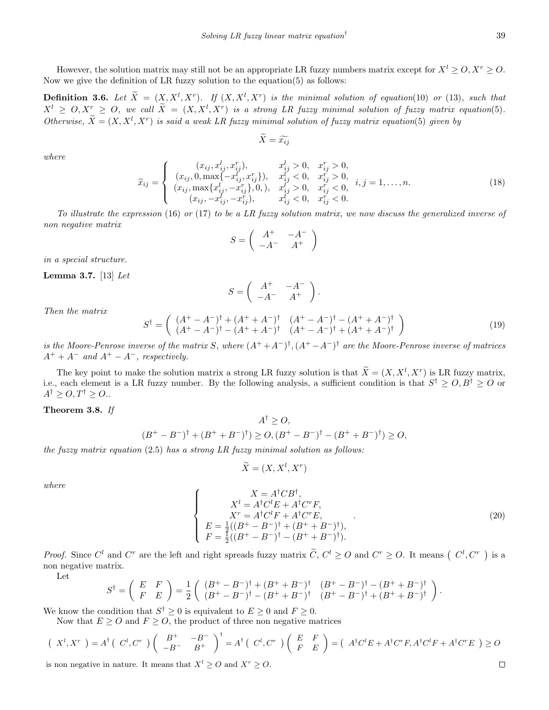39

However, the solution matrix may still not be an appropriate LR fuzzy numbers matrix except for  $X^l > 0, X^r > 0$ . Now we give the definition of LR fuzzy solution to the equation(5) as follows:

**Definition 3.6.** Let  $\tilde{X} = (X, X^l, X^r)$ . If  $(X, X^l, X^r)$  is the minimal solution of equation(10) or (13)*, such that*  $X^l \geq O, X^r \geq O,$  we call  $\tilde{X} = (X, X^l, X^r)$  is a strong LR fuzzy minimal solution of fuzzy matrix equation(5). *Otherwise,*  $\widetilde{X} = (X, X^l, X^r)$  *is said a weak LR fuzzy minimal solution of fuzzy matrix equation*(5) *given by* 

$$
\widetilde{X}=\widetilde{x_{ij}}
$$

*where*

$$
\widetilde{x}_{ij} = \begin{cases}\n(x_{ij}, x_{ij}^l, x_{ij}^r), & x_{ij}^l > 0, & x_{ij}^r > 0, \\
(x_{ij}, 0, \max\{-x_{ij}^l, x_{ij}^r\}), & x_{ij}^l < 0, & x_{ij}^r > 0, \\
(x_{ij}, \max\{x_{ij}^l, -x_{ij}^r\}, 0), & x_{ij}^l > 0, & x_{ij}^r < 0, \\
(x_{ij}, -x_{ij}^l, -x_{ij}^r), & x_{ij}^l < 0, & x_{ij}^r < 0.\n\end{cases}
$$
\n(18)

*To illustrate the expression* (16) *or* (17) *to be a LR fuzzy solution matrix, we now discuss the generalized inverse of non negative matrix*

$$
S = \left(\begin{array}{cc} A^+ & -A^- \\ -A^- & A^+ \end{array}\right)
$$

*in a special structure.*

**Lemma 3.7.** [13] *Let*

$$
S = \left( \begin{array}{cc} A^+ & -A^- \\ -A^- & A^+ \end{array} \right).
$$

*Then the matrix*

$$
S^{\dagger} = \begin{pmatrix} (A^{+} - A^{-})^{\dagger} + (A^{+} + A^{-})^{\dagger} & (A^{+} - A^{-})^{\dagger} - (A^{+} + A^{-})^{\dagger} \\ (A^{+} - A^{-})^{\dagger} - (A^{+} + A^{-})^{\dagger} & (A^{+} - A^{-})^{\dagger} + (A^{+} + A^{-})^{\dagger} \end{pmatrix}
$$
(19)

*is the Moore-Penrose inverse of the matrix S*, where  $(A^+ + A^-)^{\dagger}$ ,  $(A^+ - A^-)^{\dagger}$  are the Moore-Penrose inverse of matrices  $A^+ + A^-$  *and*  $A^+ - A^-$ *, respectively.* 

The key point to make the solution matrix a strong LR fuzzy solution is that  $\tilde{X} = (X, X^l, X^r)$  is LR fuzzy matrix, i.e., each element is a LR fuzzy number. By the following analysis, a sufficient condition is that  $S^{\dagger} \geq O, B^{\dagger} \geq O$  or  $A^{\dagger} \geq O, T^{\dagger} \geq O.$ 

**Theorem 3.8.** *If*

$$
A^{\dagger} \geq O,
$$
  

$$
(B^+ - B^-)^{\dagger} + (B^+ + B^-)^{\dagger}) \geq O, (B^+ - B^-)^{\dagger} - (B^+ + B^-)^{\dagger}) \geq O,
$$

*the fuzzy matrix equation* (2*.*5) *has a strong LR fuzzy minimal solution as follows:*

$$
\widetilde{X} = (X, X^l, X^r)
$$

*where*

$$
\begin{cases}\nX = A^{\dagger}CB^{\dagger}, \\
X^{l} = A^{\dagger}C^{l}E + A^{\dagger}C^{r}F, \\
X^{r} = A^{\dagger}C^{l}F + A^{\dagger}C^{r}E, \\
E = \frac{1}{2}((B^{+} - B^{-})^{\dagger} + (B^{+} + B^{-})^{\dagger}), \\
F = \frac{1}{2}((B^{+} - B^{-})^{\dagger} - (B^{+} + B^{-})^{\dagger}).\n\end{cases}
$$
\n(20)

*Proof.* Since  $C^l$  and  $C^r$  are the left and right spreads fuzzy matrix  $\tilde{C}$ ,  $C^l \geq O$  and  $C^r \geq O$ . It means  $\left(C^l, C^r\right)$  is a non negative matrix.

Let

$$
S^{\dagger} = \begin{pmatrix} E & F \\ F & E \end{pmatrix} = \frac{1}{2} \begin{pmatrix} (B^{+} - B^{-})^{\dagger} + (B^{+} + B^{-})^{\dagger} & (B^{+} - B^{-})^{\dagger} - (B^{+} + B^{-})^{\dagger} \\ (B^{+} - B^{-})^{\dagger} - (B^{+} + B^{-})^{\dagger} & (B^{+} - B^{-})^{\dagger} + (B^{+} + B^{-})^{\dagger} \end{pmatrix}.
$$

We know the condition that  $S^{\dagger} \geq 0$  is equivalent to  $E \geq 0$  and  $F \geq 0$ .

Now that  $E \geq 0$  and  $F \geq 0$ , the product of three non negative matrices

$$
\begin{pmatrix} X^l, X^r \end{pmatrix} = A^{\dagger} \begin{pmatrix} C^l, C^r \end{pmatrix} \begin{pmatrix} B^+ & -B^- \\ -B^- & B^+ \end{pmatrix}^{\dagger} = A^{\dagger} \begin{pmatrix} C^l, C^r \end{pmatrix} \begin{pmatrix} E & F \\ F & E \end{pmatrix} = \begin{pmatrix} A^{\dagger}C^lE + A^{\dagger}C^rF, A^{\dagger}C^lF + A^{\dagger}C^rE \end{pmatrix} \geq O
$$

is non negative in nature. It means that  $X^l \geq O$  and  $X^r \geq O$ .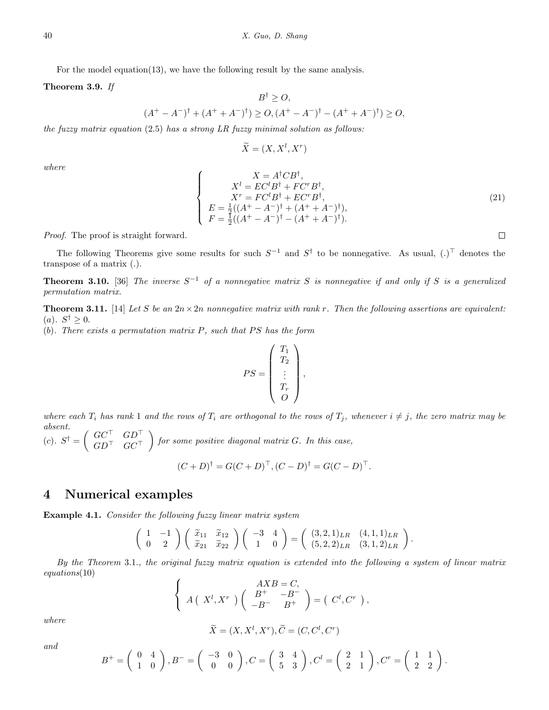For the model equation(13), we have the following result by the same analysis.

**Theorem 3.9.** *If*

$$
B^{\dagger} \geq O,
$$
  

$$
(A^{+} - A^{-})^{\dagger} + (A^{+} + A^{-})^{\dagger}) \geq O, (A^{+} - A^{-})^{\dagger} - (A^{+} + A^{-})^{\dagger}) \geq O,
$$

*the fuzzy matrix equation* (2*.*5) *has a strong LR fuzzy minimal solution as follows:*

$$
\widetilde{X} = (X, X^l, X^r)
$$

*where*

$$
\begin{cases}\nX = A^{\dagger}CB^{\dagger}, \nX^{l} = EC^{l}B^{\dagger} + FC^{r}B^{\dagger}, \nX^{r} = FC^{l}B^{\dagger} + EC^{r}B^{\dagger}, \nE = \frac{1}{2}((A^{+} - A^{-})^{\dagger} + (A^{+} + A^{-})^{\dagger}), \nF = \frac{1}{2}((A^{+} - A^{-})^{\dagger} - (A^{+} + A^{-})^{\dagger}).\n\end{cases}
$$
\n(21)

*Proof.* The proof is straight forward.

The following Theorems give some results for such  $S^{-1}$  and  $S^{\dagger}$  to be nonnegative. As usual,  $(.)^{\top}$  denotes the transpose of a matrix (*.*).

**Theorem 3.10.** [36] *The inverse S <sup>−</sup>*<sup>1</sup> *of a nonnegative matrix S is nonnegative if and only if S is a generalized permutation matrix.*

**Theorem 3.11.** [14] Let S be an  $2n \times 2n$  nonnegative matrix with rank r. Then the following assertions are equivalent:  $(a)$ *.*  $S^{\dagger} \geq 0$ *.* 

(*b*)*. There exists a permutation matrix P, such that P S has the form*

$$
PS = \begin{pmatrix} T_1 \\ T_2 \\ \vdots \\ T_r \\ O \end{pmatrix},
$$

where each  $T_i$  has rank 1 and the rows of  $T_i$  are orthogonal to the rows of  $T_j$ , whenever  $i \neq j$ , the zero matrix may be *absent.*  $(c)$ *.*  $S^{\dagger} = \begin{pmatrix} GC^{\top} & GD^{\top} \\ CD^{\top} & GC^{\top} \end{pmatrix}$ *GD<sup>⊤</sup> GC<sup>⊤</sup>* ) *for some positive diagonal matrix G. In this case, ⊤.*

$$
(C+D)^{\dagger} = G(C+D)^{\dagger}, (C-D)^{\dagger} = G(C-D)
$$

#### **4 Numerical examples**

**Example 4.1.** *Consider the following fuzzy linear matrix system*

$$
\left(\begin{array}{cc} 1 & -1 \\ 0 & 2 \end{array}\right) \left(\begin{array}{cc} \widetilde{x}_{11} & \widetilde{x}_{12} \\ \widetilde{x}_{21} & \widetilde{x}_{22} \end{array}\right) \left(\begin{array}{cc} -3 & 4 \\ 1 & 0 \end{array}\right) = \left(\begin{array}{cc} (3,2,1)_{LR} & (4,1,1)_{LR} \\ (5,2,2)_{LR} & (3,1,2)_{LR} \end{array}\right).
$$

*By the Theorem* 3*.*1*., the original fuzzy matrix equation is extended into the following a system of linear matrix equations*(10)

$$
\begin{cases}\nAXB = C, \\
A(X^l, X^r) \begin{pmatrix} B^+ & -B^- \\ -B^- & B^+ \end{pmatrix} = \begin{pmatrix} C^l, C^r \end{pmatrix},\n\end{cases}
$$

*where*

$$
\widetilde{X}=(X,X^l,X^r), \widetilde{C}=(C,C^l,C^r)
$$

*and*

$$
B^+=\left(\begin{array}{cc}0&4\\1&0\end{array}\right), B^- = \left(\begin{array}{cc}-3&0\\0&0\end{array}\right), C = \left(\begin{array}{cc}3&4\\5&3\end{array}\right), C^l = \left(\begin{array}{cc}2&1\\2&1\end{array}\right), C^r = \left(\begin{array}{cc}1&1\\2&2\end{array}\right).
$$

 $\Box$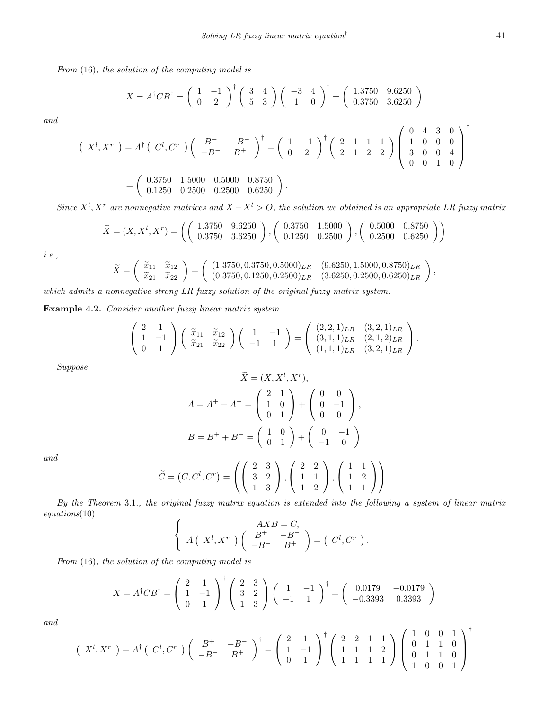*From* (16)*, the solution of the computing model is*

$$
X = A^{\dagger}CB^{\dagger} = \begin{pmatrix} 1 & -1 \\ 0 & 2 \end{pmatrix}^{\dagger} \begin{pmatrix} 3 & 4 \\ 5 & 3 \end{pmatrix} \begin{pmatrix} -3 & 4 \\ 1 & 0 \end{pmatrix}^{\dagger} = \begin{pmatrix} 1.3750 & 9.6250 \\ 0.3750 & 3.6250 \end{pmatrix}
$$

*and*

$$
\begin{pmatrix}\nX^l, X^r\n\end{pmatrix} = A^{\dagger} \begin{pmatrix}\nC^l, C^r\n\end{pmatrix} \begin{pmatrix}\nB^+ & -B^- \\
-B^- & B^+\n\end{pmatrix}^{\dagger} = \begin{pmatrix}\n1 & -1 \\
0 & 2\n\end{pmatrix}^{\dagger} \begin{pmatrix}\n2 & 1 & 1 & 1 \\
2 & 1 & 2 & 2\n\end{pmatrix} \begin{pmatrix}\n0 & 4 & 3 & 0 \\
1 & 0 & 0 & 0 \\
3 & 0 & 0 & 4 \\
0 & 0 & 1 & 0\n\end{pmatrix}^{\dagger}
$$
\n
$$
= \begin{pmatrix}\n0.3750 & 1.5000 & 0.5000 & 0.8750 \\
0.1250 & 0.2500 & 0.2500 & 0.6250\n\end{pmatrix}.
$$

*Since*  $X^l$ ,  $X^r$  are nonnegative matrices and  $X - X^l > 0$ , the solution we obtained is an appropriate LR fuzzy matrix

$$
\widetilde{X} = (X, X^l, X^r) = \left( \left( \begin{array}{cc} 1.3750 & 9.6250 \\ 0.3750 & 3.6250 \end{array} \right), \left( \begin{array}{cc} 0.3750 & 1.5000 \\ 0.1250 & 0.2500 \end{array} \right), \left( \begin{array}{cc} 0.5000 & 0.8750 \\ 0.2500 & 0.6250 \end{array} \right) \right)
$$

*i.e.,*

$$
\widetilde{X} = \begin{pmatrix} \widetilde{x}_{11} & \widetilde{x}_{12} \\ \widetilde{x}_{21} & \widetilde{x}_{22} \end{pmatrix} = \begin{pmatrix} (1.3750, 0.3750, 0.5000)_{LR} & (9.6250, 1.5000, 0.8750)_{LR} \\ (0.3750, 0.1250, 0.2500)_{LR} & (3.6250, 0.2500, 0.6250)_{LR} \end{pmatrix},
$$

*which admits a nonnegative strong LR fuzzy solution of the original fuzzy matrix system.*

**Example 4.2.** *Consider another fuzzy linear matrix system*

$$
\left(\begin{array}{cc} 2 & 1 \\ 1 & -1 \\ 0 & 1 \end{array}\right) \left(\begin{array}{cc} \widetilde{x}_{11} & \widetilde{x}_{12} \\ \widetilde{x}_{21} & \widetilde{x}_{22} \end{array}\right) \left(\begin{array}{cc} 1 & -1 \\ -1 & 1 \end{array}\right) = \left(\begin{array}{cc} (2,2,1)_{LR} & (3,2,1)_{LR} \\ (3,1,1)_{LR} & (2,1,2)_{LR} \\ (1,1,1)_{LR} & (3,2,1)_{LR} \end{array}\right).
$$

*Suppose*

$$
\tilde{X} = (X, X^l, X^r),
$$
  
\n
$$
A = A^+ + A^- = \begin{pmatrix} 2 & 1 \\ 1 & 0 \\ 0 & 1 \end{pmatrix} + \begin{pmatrix} 0 & 0 \\ 0 & -1 \\ 0 & 0 \end{pmatrix},
$$
  
\n
$$
B = B^+ + B^- = \begin{pmatrix} 1 & 0 \\ 0 & 1 \end{pmatrix} + \begin{pmatrix} 0 & -1 \\ -1 & 0 \end{pmatrix}
$$

*and*

$$
\widetilde{C} = (C, C^l, C^r) = \left( \left( \begin{array}{rrr} 2 & 3 \\ 3 & 2 \\ 1 & 3 \end{array} \right), \left( \begin{array}{rrr} 2 & 2 \\ 1 & 1 \\ 1 & 2 \end{array} \right), \left( \begin{array}{rrr} 1 & 1 \\ 1 & 2 \\ 1 & 1 \end{array} \right) \right).
$$

*By the Theorem* 3*.*1*., the original fuzzy matrix equation is extended into the following a system of linear matrix equations*(10)

$$
\begin{cases}\nAXB = C, \\
A(X^l, X^r) \begin{pmatrix} B^+ & -B^- \\ -B^- & B^+ \end{pmatrix} = \begin{pmatrix} C^l, C^r \end{pmatrix}.\n\end{cases}
$$

*From* (16)*, the solution of the computing model is*

$$
X = A^{\dagger} C B^{\dagger} = \begin{pmatrix} 2 & 1 \\ 1 & -1 \\ 0 & 1 \end{pmatrix}^{\dagger} \begin{pmatrix} 2 & 3 \\ 3 & 2 \\ 1 & 3 \end{pmatrix} \begin{pmatrix} 1 & -1 \\ -1 & 1 \end{pmatrix}^{\dagger} = \begin{pmatrix} 0.0179 & -0.0179 \\ -0.3393 & 0.3393 \end{pmatrix}
$$

*and*

$$
\begin{pmatrix} X^l, X^r \end{pmatrix} = A^{\dagger} \begin{pmatrix} C^l, C^r \end{pmatrix} \begin{pmatrix} B^+ & -B^- \\ -B^- & B^+ \end{pmatrix}^{\dagger} = \begin{pmatrix} 2 & 1 \\ 1 & -1 \\ 0 & 1 \end{pmatrix}^{\dagger} \begin{pmatrix} 2 & 2 & 1 & 1 \\ 1 & 1 & 1 & 2 \\ 1 & 1 & 1 & 1 \end{pmatrix} \begin{pmatrix} 1 & 0 & 0 & 1 \\ 0 & 1 & 1 & 0 \\ 0 & 1 & 1 & 0 \\ 1 & 0 & 0 & 1 \end{pmatrix}^{\dagger}
$$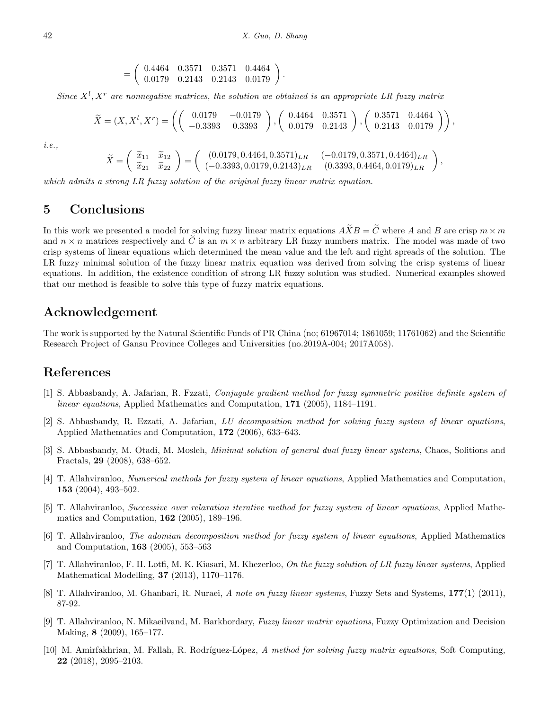*.*

$$
= \left(\begin{array}{ccc} 0.4464 & 0.3571 & 0.3571 & 0.4464 \\ 0.0179 & 0.2143 & 0.2143 & 0.0179 \end{array}\right)
$$

*Since*  $X^l$ ,  $X^r$  are nonnegative matrices, the solution we obtained is an appropriate LR fuzzy matrix

$$
\widetilde{X} = (X, X^l, X^r) = \left( \left( \begin{array}{cc} 0.0179 & -0.0179 \\ -0.3393 & 0.3393 \end{array} \right), \left( \begin{array}{cc} 0.4464 & 0.3571 \\ 0.0179 & 0.2143 \end{array} \right), \left( \begin{array}{cc} 0.3571 & 0.4464 \\ 0.2143 & 0.0179 \end{array} \right) \right),
$$

*i.e.,*

$$
\widetilde{X} = \begin{pmatrix} \widetilde{x}_{11} & \widetilde{x}_{12} \\ \widetilde{x}_{21} & \widetilde{x}_{22} \end{pmatrix} = \begin{pmatrix} (0.0179, 0.4464, 0.3571)_{LR} & (-0.0179, 0.3571, 0.4464)_{LR} \\ (-0.3393, 0.0179, 0.2143)_{LR} & (0.3393, 0.4464, 0.0179)_{LR} \end{pmatrix},
$$

*which admits a strong LR fuzzy solution of the original fuzzy linear matrix equation.*

# **5 Conclusions**

In this work we presented a model for solving fuzzy linear matrix equations  $\widetilde{A} \widetilde{X} B = \widetilde{C}$  where *A* and *B* are crisp  $m \times m$ and  $n \times n$  matrices respectively and  $\tilde{C}$  is an  $m \times n$  arbitrary LR fuzzy numbers matrix. The model was made of two crisp systems of linear equations which determined the mean value and the left and right spreads of the solution. The LR fuzzy minimal solution of the fuzzy linear matrix equation was derived from solving the crisp systems of linear equations. In addition, the existence condition of strong LR fuzzy solution was studied. Numerical examples showed that our method is feasible to solve this type of fuzzy matrix equations.

# **Acknowledgement**

The work is supported by the Natural Scientific Funds of PR China (no; 61967014; 1861059; 11761062) and the Scientific Research Project of Gansu Province Colleges and Universities (no.2019A-004; 2017A058).

### **References**

- [1] S. Abbasbandy, A. Jafarian, R. Fzzati, *Conjugate gradient method for fuzzy symmetric positive definite system of linear equations*, Applied Mathematics and Computation, **171** (2005), 1184–1191.
- [2] S. Abbasbandy, R. Ezzati, A. Jafarian, *LU decomposition method for solving fuzzy system of linear equations*, Applied Mathematics and Computation, **172** (2006), 633–643.
- [3] S. Abbasbandy, M. Otadi, M. Mosleh, *Minimal solution of general dual fuzzy linear systems*, Chaos, Solitions and Fractals, **29** (2008), 638–652.
- [4] T. Allahviranloo, *Numerical methods for fuzzy system of linear equations*, Applied Mathematics and Computation, **153** (2004), 493–502.
- [5] T. Allahviranloo, *Successive over relaxation iterative method for fuzzy system of linear equations*, Applied Mathematics and Computation, **162** (2005), 189–196.
- [6] T. Allahviranloo, *The adomian decomposition method for fuzzy system of linear equations*, Applied Mathematics and Computation, **163** (2005), 553–563
- [7] T. Allahviranloo, F. H. Lotfi, M. K. Kiasari, M. Khezerloo, *On the fuzzy solution of LR fuzzy linear systems*, Applied Mathematical Modelling, **37** (2013), 1170–1176.
- [8] T. Allahviranloo, M. Ghanbari, R. Nuraei, *A note on fuzzy linear systems*, Fuzzy Sets and Systems, **177**(1) (2011), 87-92.
- [9] T. Allahviranloo, N. Mikaeilvand, M. Barkhordary, *Fuzzy linear matrix equations*, Fuzzy Optimization and Decision Making, **8** (2009), 165–177.
- [10] M. Amirfakhrian, M. Fallah, R. Rodr´ıguez-L´opez, *A method for solving fuzzy matrix equations*, Soft Computing, **22** (2018), 2095–2103.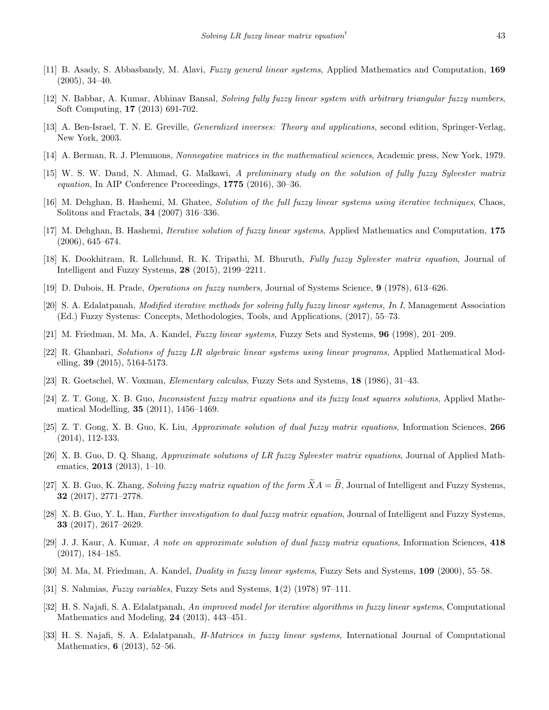- [11] B. Asady, S. Abbasbandy, M. Alavi, *Fuzzy general linear systems*, Applied Mathematics and Computation, **169** (2005), 34–40.
- [12] N. Babbar, A. Kumar, Abhinav Bansal, *Solving fully fuzzy linear system with arbitrary triangular fuzzy numbers*, Soft Computing, **17** (2013) 691-702.
- [13] A. Ben-Israel, T. N. E. Greville, *Generalized inverses: Theory and applications*, second edition, Springer-Verlag, New York, 2003.
- [14] A. Berman, R. J. Plemmons, *Nonnegative matrices in the mathematical sciences*, Academic press, New York, 1979.
- [15] W. S. W. Daud, N. Ahmad, G. Malkawi, *A preliminary study on the solution of fully fuzzy Sylvester matrix equation*, In AIP Conference Proceedings, **1775** (2016), 30–36.
- [16] M. Dehghan, B. Hashemi, M. Ghatee, *Solution of the full fuzzy linear systems using iterative techniques*, Chaos, Solitons and Fractals, **34** (2007) 316–336.
- [17] M. Dehghan, B. Hashemi, *Iterative solution of fuzzy linear systems*, Applied Mathematics and Computation, **175** (2006), 645–674.
- [18] K. Dookhitram, R. Lollchund, R. K. Tripathi, M. Bhuruth, *Fully fuzzy Sylvester matrix equation*, Journal of Intelligent and Fuzzy Systems, **28** (2015), 2199–2211.
- [19] D. Dubois, H. Prade, *Operations on fuzzy numbers*, Journal of Systems Science, **9** (1978), 613–626.
- [20] S. A. Edalatpanah, *Modified iterative methods for solving fully fuzzy linear systems, In I*, Management Association (Ed.) Fuzzy Systems: Concepts, Methodologies, Tools, and Applications, (2017), 55–73.
- [21] M. Friedman, M. Ma, A. Kandel, *Fuzzy linear systems*, Fuzzy Sets and Systems, **96** (1998), 201–209.
- [22] R. Ghanbari, *Solutions of fuzzy LR algebraic linear systems using linear programs*, Applied Mathematical Modelling, **39** (2015), 5164-5173.
- [23] R. Goetschel, W. Voxman, *Elementary calculus*, Fuzzy Sets and Systems, **18** (1986), 31–43.
- [24] Z. T. Gong, X. B. Guo, *Inconsistent fuzzy matrix equations and its fuzzy least squares solutions*, Applied Mathematical Modelling, **35** (2011), 1456–1469.
- [25] Z. T. Gong, X. B. Guo, K. Liu, *Approximate solution of dual fuzzy matrix equations*, Information Sciences, **266** (2014), 112-133.
- [26] X. B. Guo, D. Q. Shang, *Approximate solutions of LR fuzzy Sylvester matrix equations*, Journal of Applied Mathematics, **2013** (2013), 1–10.
- [27] X. B. Guo, K. Zhang, *Solving fuzzy matrix equation of the form*  $\widetilde{X}A = \widetilde{B}$ , Journal of Intelligent and Fuzzy Systems, **32** (2017), 2771–2778.
- [28] X. B. Guo, Y. L. Han, *Further investigation to dual fuzzy matrix equation*, Journal of Intelligent and Fuzzy Systems, **33** (2017), 2617–2629.
- [29] J. J. Kaur, A. Kumar, *A note on approximate solution of dual fuzzy matrix equations*, Information Sciences, **418** (2017), 184–185.
- [30] M. Ma, M. Friedman, A. Kandel, *Duality in fuzzy linear systems*, Fuzzy Sets and Systems, **109** (2000), 55–58.
- [31] S. Nahmias, *Fuzzy variables*, Fuzzy Sets and Systems, **1**(2) (1978) 97–111.
- [32] H. S. Najafi, S. A. Edalatpanah, *An improved model for iterative algorithms in fuzzy linear systems*, Computational Mathematics and Modeling, **24** (2013), 443–451.
- [33] H. S. Najafi, S. A. Edalatpanah, *H-Matrices in fuzzy linear systems*, International Journal of Computational Mathematics, **6** (2013), 52–56.